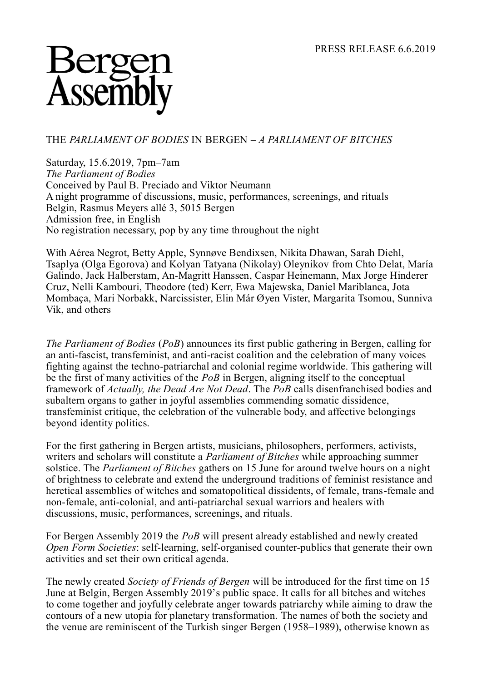## Berge<br>Assemb

## THE *PARLIAMENT OF BODIES* IN BERGEN – *A PARLIAMENT OF BITCHES*

Saturday, 15.6.2019, 7pm–7am *The Parliament of Bodies* Conceived by Paul B. Preciado and Viktor Neumann A night programme of discussions, music, performances, screenings, and rituals Belgin, Rasmus Meyers allé 3, 5015 Bergen Admission free, in English No registration necessary, pop by any time throughout the night

With Aérea Negrot, Betty Apple, Synnøve Bendixsen, Nikita Dhawan, Sarah Diehl, Tsaplya (Olga Egorova) and Kolyan Tatyana (Nikolay) Oleynikov from Chto Delat, María Galindo, Jack Halberstam, An-Magritt Hanssen, Caspar Heinemann, Max Jorge Hinderer Cruz, Nelli Kambouri, Theodore (ted) Kerr, Ewa Majewska, Daniel Mariblanca, Jota Mombaça, Mari Norbakk, Narcissister, Elin Már Øyen Vister, Margarita Tsomou, Sunniva Vik, and others

*The Parliament of Bodies* (*PoB*) announces its first public gathering in Bergen, calling for an anti-fascist, transfeminist, and anti-racist coalition and the celebration of many voices fighting against the techno-patriarchal and colonial regime worldwide. This gathering will be the first of many activities of the *PoB* in Bergen, aligning itself to the conceptual framework of *Actually, the Dead Are Not Dead*. The *PoB* calls disenfranchised bodies and subaltern organs to gather in joyful assemblies commending somatic dissidence, transfeminist critique, the celebration of the vulnerable body, and affective belongings beyond identity politics.

For the first gathering in Bergen artists, musicians, philosophers, performers, activists, writers and scholars will constitute a *Parliament of Bitches* while approaching summer solstice. The *Parliament of Bitches* gathers on 15 June for around twelve hours on a night of brightness to celebrate and extend the underground traditions of feminist resistance and heretical assemblies of witches and somatopolitical dissidents, of female, trans-female and non-female, anti-colonial, and anti-patriarchal sexual warriors and healers with discussions, music, performances, screenings, and rituals.

For Bergen Assembly 2019 the *PoB* will present already established and newly created *Open Form Societies*: self-learning, self-organised counter-publics that generate their own activities and set their own critical agenda.

The newly created *Society of Friends of Bergen* will be introduced for the first time on 15 June at Belgin, Bergen Assembly 2019's public space. It calls for all bitches and witches to come together and joyfully celebrate anger towards patriarchy while aiming to draw the contours of a new utopia for planetary transformation. The names of both the society and the venue are reminiscent of the Turkish singer Bergen (1958–1989), otherwise known as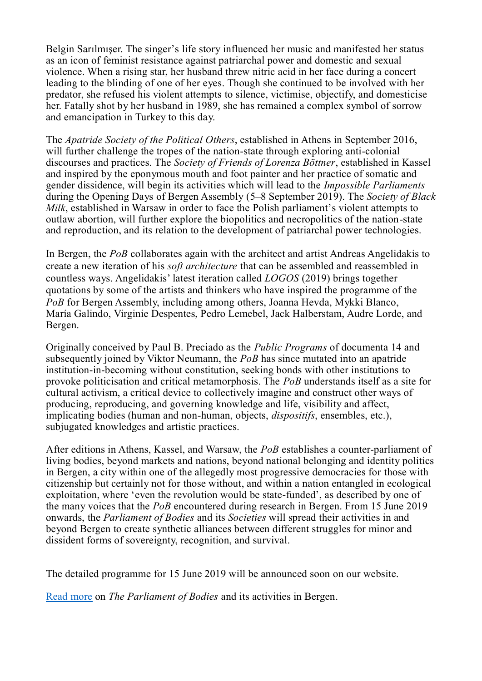Belgin Sarılmışer. The singer's life story influenced her music and manifested her status as an icon of feminist resistance against patriarchal power and domestic and sexual violence. When a rising star, her husband threw nitric acid in her face during a concert leading to the blinding of one of her eyes. Though she continued to be involved with her predator, she refused his violent attempts to silence, victimise, objectify, and domesticise her. Fatally shot by her husband in 1989, she has remained a complex symbol of sorrow and emancipation in Turkey to this day.

The *Apatride Society of the Political Others*, established in Athens in September 2016, will further challenge the tropes of the nation-state through exploring anti-colonial discourses and practices. The *Society of Friends of Lorenza Böttner*, established in Kassel and inspired by the eponymous mouth and foot painter and her practice of somatic and gender dissidence, will begin its activities which will lead to the *Impossible Parliaments* during the Opening Days of Bergen Assembly (5–8 September 2019). The *Society of Black Milk*, established in Warsaw in order to face the Polish parliament's violent attempts to outlaw abortion, will further explore the biopolitics and necropolitics of the nation-state and reproduction, and its relation to the development of patriarchal power technologies.

In Bergen, the *PoB* collaborates again with the architect and artist Andreas Angelidakis to create a new iteration of his *soft architecture* that can be assembled and reassembled in countless ways. Angelidakis' latest iteration called *LOGOS* (2019) brings together quotations by some of the artists and thinkers who have inspired the programme of the *PoB* for Bergen Assembly, including among others, Joanna Hevda, Mykki Blanco, María Galindo, Virginie Despentes, Pedro Lemebel, Jack Halberstam, Audre Lorde, and Bergen.

Originally conceived by Paul B. Preciado as the *Public Programs* of documenta 14 and subsequently joined by Viktor Neumann, the *PoB* has since mutated into an apatride institution-in-becoming without constitution, seeking bonds with other institutions to provoke politicisation and critical metamorphosis. The *PoB* understands itself as a site for cultural activism, a critical device to collectively imagine and construct other ways of producing, reproducing, and governing knowledge and life, visibility and affect, implicating bodies (human and non-human, objects, *dispositifs*, ensembles, etc.), subjugated knowledges and artistic practices.

After editions in Athens, Kassel, and Warsaw, the *PoB* establishes a counter-parliament of living bodies, beyond markets and nations, beyond national belonging and identity politics in Bergen, a city within one of the allegedly most progressive democracies for those with citizenship but certainly not for those without, and within a nation entangled in ecological exploitation, where 'even the revolution would be state-funded', as described by one of the many voices that the *PoB* encountered during research in Bergen. From 15 June 2019 onwards, the *Parliament of Bodies* and its *Societies* will spread their activities in and beyond Bergen to create synthetic alliances between different struggles for minor and dissident forms of sovereignty, recognition, and survival.

The detailed programme for 15 June 2019 will be announced soon on our website.

[Read more](http://www.bergenassembly.no/platforms/parliament-of-bodies.) on *The Parliament of Bodies* and its activities in Bergen.